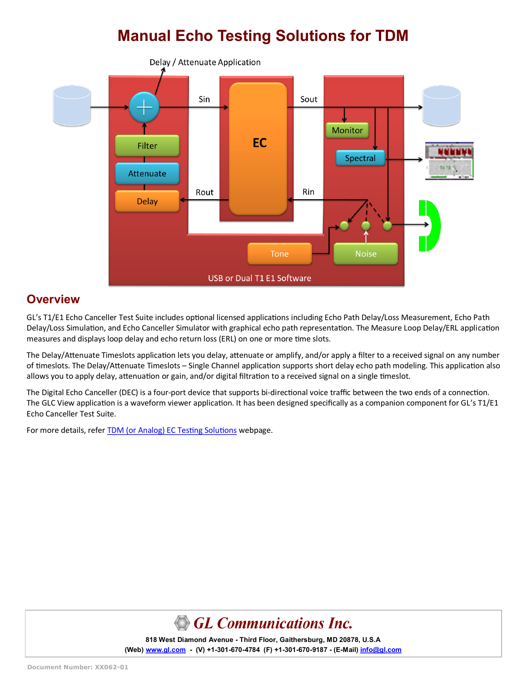# **Manual Echo Testing Solutions for TDM**



### **Overview**

GL's T1/E1 Echo Canceller Test Suite includes optional licensed applications including Echo Path Delay/Loss Measurement, Echo Path Delay/Loss Simulation, and Echo Canceller Simulator with graphical echo path representation. The Measure Loop Delay/ERL application measures and displays loop delay and echo return loss (ERL) on one or more time slots.

The Delay/Attenuate Timeslots application lets you delay, attenuate or amplify, and/or apply a filter to a received signal on any number of timeslots. The Delay/Attenuate Timeslots – Single Channel application supports short delay echo path modeling. This application also allows you to apply delay, attenuation or gain, and/or digital filtration to a received signal on a single timeslot.

The Digital Echo Canceller (DEC) is a four-port device that supports bi-directional voice traffic between the two ends of a connection. The GLC View application is a waveform viewer application. It has been designed specifically as a companion component for GL's T1/E1 Echo Canceller Test Suite.

For more details, refer **TDM** (or Analog) EC Testing Solutions webpage.



**818 West Diamond Avenue - Third Floor, Gaithersburg, MD 20878, U.S.A** (Web) [www.gl.com](https://www.gl.com) - (V) +1-301-670-4784 (F) +1-301-670-9187 - (E-Mail) [info@gl.com](https://www.gl.com/inforequestform.php)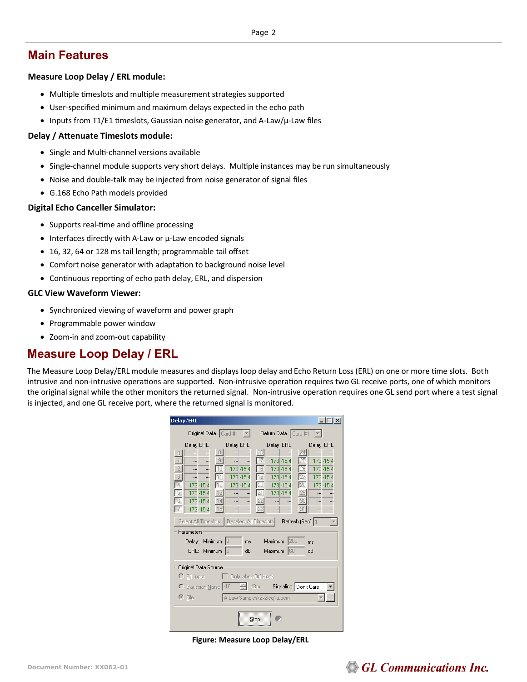### **Main Features**

#### **Measure Loop Delay / ERL module:**

- Multiple timeslots and multiple measurement strategies supported
- User-specified minimum and maximum delays expected in the echo path
- Inputs from T1/E1 timeslots, Gaussian noise generator, and A-Law/µ-Law files

#### **Delay / Attenuate Timeslots module:**

- Single and Multi-channel versions available
- Single-channel module supports very short delays. Multiple instances may be run simultaneously
- Noise and double-talk may be injected from noise generator of signal files
- G.168 Echo Path models provided

#### **Digital Echo Canceller Simulator:**

- Supports real-time and offline processing
- Interfaces directly with A-Law or µ-Law encoded signals
- 16, 32, 64 or 128 ms tail length; programmable tail offset
- Comfort noise generator with adaptation to background noise level
- Continuous reporting of echo path delay, ERL, and dispersion

#### **GLC View Waveform Viewer:**

- Synchronized viewing of waveform and power graph
- Programmable power window
- Zoom-in and zoom-out capability

### **Measure Loop Delay / ERL**

The Measure Loop Delay/ERL module measures and displays loop delay and Echo Return Loss (ERL) on one or more time slots. Both intrusive and non-intrusive operations are supported. Non-intrusive operation requires two GL receive ports, one of which monitors the original signal while the other monitors the returned signal. Non-intrusive operation requires one GL send port where a test signal is injected, and one GL receive port, where the returned signal is monitored.

| Delay/ERL                                                                                                                                                                                                                                                                                                                                                                                  | $ \Box$ $\times$                                                                                                                                                                                                                                                                         |  |  |  |
|--------------------------------------------------------------------------------------------------------------------------------------------------------------------------------------------------------------------------------------------------------------------------------------------------------------------------------------------------------------------------------------------|------------------------------------------------------------------------------------------------------------------------------------------------------------------------------------------------------------------------------------------------------------------------------------------|--|--|--|
| Original Data   Card #1                                                                                                                                                                                                                                                                                                                                                                    | Return Data   Card #1                                                                                                                                                                                                                                                                    |  |  |  |
| Delay ERL<br>Delay ERL<br> 8 <br><br>П<br>9<br><br><br><br><br>$\overline{2}$<br>173-15.4<br>40<br><br>$\overline{3}$<br>173-15.4<br><br>$\overline{4}$<br>173-15.4<br>173-15.4<br>5<br>173-15.4<br>13<br><br><br>173-15.4<br>14<br>6<br><br><br>173-15.4<br>15<br>Select All Timeslots   Deselect All Timeslots  <br>Parameters<br>Delay: Minimum<br> 0 <br>ms<br>Minimum 6<br>ERL:<br>dB | Delay ERL<br>Delay ERL<br>16<br>24<br>173-15.4<br>173-15.4<br>25<br>173-15.4<br>173-15.4<br>173-15.4<br>173-15.4<br>173-15.4<br>173-15.4<br>28<br>173-15.4<br>29<br>121<br><br>30<br>22<br><br><br>31<br>23<br><br><br><br>Refresh (Sec)   1<br>200<br>Maximum<br>ms<br>Maximum 60<br>dВ |  |  |  |
| Original Data Source<br>$\bigcirc$ E1 Input $\bigcirc$ Only when Off Hook<br>dBm Signaling Don't Care<br>C Gaussian Noise -10<br>$\odot$ File<br>A-Law Samples\2x2lcq1a.pcm<br><br>Stop<br>                                                                                                                                                                                                |                                                                                                                                                                                                                                                                                          |  |  |  |

**Figure: Measure Loop Delay/ERL**

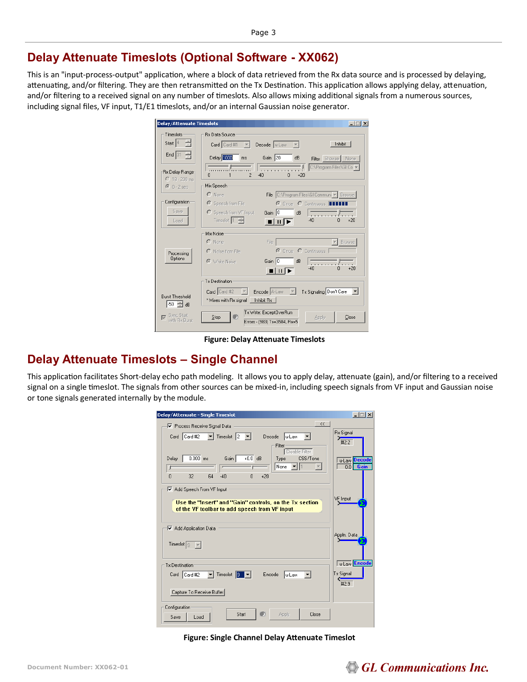### **Delay Attenuate Timeslots (Optional Software - XX062)**

This is an "input-process-output" application, where a block of data retrieved from the Rx data source and is processed by delaying, attenuating, and/or filtering. They are then retransmitted on the Tx Destination. This application allows applying delay, attenuation, and/or filtering to a received signal on any number of timeslots. Also allows mixing additional signals from a numerous sources, including signal files, VF input, T1/E1 timeslots, and/or an internal Gaussian noise generator.

| Timeslots<br><b>Rx Data Source</b><br>Start $ 4$<br>Inhibit<br>Card Card #1<br>Decode $ $ u-Law $\overline{v}$<br>$\sim$ $\sim$ $\sim$ |       |
|----------------------------------------------------------------------------------------------------------------------------------------|-------|
| End 31<br>Delay 1000<br>Gain 20<br>dB<br>ms<br>Filter Browse None                                                                      |       |
| C:\Program Files\GI Co ~<br>.<br>Rx Delay Range<br>$\overline{\phantom{a}}$<br>$-40$<br>n<br>$+20$<br>n                                |       |
| $C$ 18 - 200 ms<br>Mix Speech                                                                                                          |       |
| $\odot$ 0 - 2 sec<br>File C:\Program Files\GI Communi v   Browse<br>$\cap$ None                                                        |       |
| Configuration<br>Speech from File<br>$\sqrt{2}$<br>C Once C Continuous III                                                             |       |
| Save<br>C Speech from VF Input<br>Gain 0<br>$\overline{dB}$                                                                            |       |
| Timeslot $\left 1-\frac{1}{x}\right $<br>$-40$<br>Load<br>n<br>Ш                                                                       | $+20$ |
| Mix Noise                                                                                                                              |       |
| $C$ None<br>Browse<br>File                                                                                                             |       |
| C Once C Continuous<br>C Noise from File<br>Processing                                                                                 |       |
| Options<br>Gain 0<br>dB<br>C White Noise<br><b><i><u>ALCOHOL: 1999</u></i></b>                                                         |       |
| $-40$<br>n                                                                                                                             | $+20$ |
| Tx Destination:                                                                                                                        |       |
| Encode A-Law<br>Tx Signaling Don't Care<br>Card Card #2<br>$\vert \vert \vert \vert$                                                   |       |
| <b>Burst Threshold</b><br>* Mixes with Rx signal<br>Inhibit Rx<br>-50 - 금 dB                                                           |       |
| Tx Write: ExceptOverRun                                                                                                                |       |
| Sync Start<br>m<br>Stop<br>Apply<br>⊽<br>with Bx Burst<br>Errors - (983) Tx=3584, Rx=5                                                 | Close |

**Figure: Delay Attenuate Timeslots**

### **Delay Attenuate Timeslots – Single Channel**

This application facilitates Short-delay echo path modeling. It allows you to apply delay, attenuate (gain), and/or filtering to a received signal on a single timeslot. The signals from other sources can be mixed-in, including speech signals from VF input and Gaussian noise or tone signals generated internally by the module.

| Delay/Attenuate - Single Timeslot                                                                                                            | $   $ $  $ $\times$                              |
|----------------------------------------------------------------------------------------------------------------------------------------------|--------------------------------------------------|
| $\prec$ $<$<br>√ Process Receive Signal Data                                                                                                 |                                                  |
| $\blacktriangleright$ Timeslot 2<br>Card Card #2<br>lu-Law<br>Decode<br>Filter                                                               | <b>Rx Signal</b><br>#2:2                         |
| Disable Filter<br>$0.000$ ms<br>$+0.0$ dB<br>Gain<br>CSS/Tone<br>Delay<br>Type<br>None<br>$-40$<br>$\Omega$<br>32<br>64<br>$\theta$<br>$+20$ | <b>Decode</b><br>u-Law<br>0 <sub>0</sub><br>Gain |
| Add Speech From VF Input<br>Use the "Insert" and "Gain" controls, on the Tx section<br>of the VF toolbar to add speech from VF input         | VF Input                                         |
| Add Application Data<br>Timeslot $\sqrt{9}$                                                                                                  | Appln. Data                                      |
| Tx Destination                                                                                                                               | <b>Tu-Law</b> Encode                             |
| $\blacktriangledown$ Timeslot $\boxed{9}$ $\blacktriangledown$<br>Card   Card #2<br>Encode<br>u-Law                                          | <b>Tx Signal</b><br>Œ<br>#2:9                    |
| Capture To Receive Buffer                                                                                                                    |                                                  |
| Configuration<br>Start<br>Apply<br>Close<br>Save<br>Load                                                                                     |                                                  |

**Figure: Single Channel Delay Attenuate Timeslot**

## GL Communications Inc.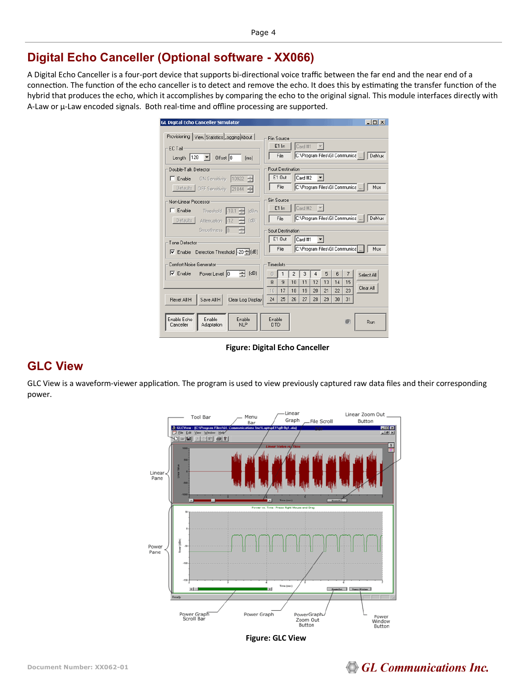### **Digital Echo Canceller (Optional software - XX066)**

A Digital Echo Canceller is a four-port device that supports bi-directional voice traffic between the far end and the near end of a connection. The function of the echo canceller is to detect and remove the echo. It does this by estimating the transfer function of the hybrid that produces the echo, which it accomplishes by comparing the echo to the original signal. This module interfaces directly with A-Law or µ-Law encoded signals. Both real-time and offline processing are supported.

| GL Digital Echo Canceller Simulator                                                                                                                                     |                                                                                                                                                                                                          |               |          |          |          |          |          |          | $ \Box$ $\times$                       |
|-------------------------------------------------------------------------------------------------------------------------------------------------------------------------|----------------------------------------------------------------------------------------------------------------------------------------------------------------------------------------------------------|---------------|----------|----------|----------|----------|----------|----------|----------------------------------------|
| Provisioning   View Statistics Logging About<br>EC Tail<br>Length $ 128 - 7 $<br>Offset 0<br>[ms]                                                                       | <b>Bin Source</b>                                                                                                                                                                                        | E1 In<br>File |          | Card #1  |          |          |          |          | C:\Program Files\GI Communica    DeMux |
| Rout Destination<br>Double-Talk Detector<br>E1 Out<br>$\Box$ Enable<br>ON Sensitivity 10922 - -<br>File<br>Defaults OFF Sensitivity 21844                               |                                                                                                                                                                                                          |               |          | Card #2  |          |          |          |          | C:\Program Files\GI Communica<br>Mux   |
| Non-Linear Processor<br>Enable Threshold<br>$-18.1$<br>fdBm<br>Defaults Attenuation -12<br>(dB)<br>Smoothness 8<br>Tone Detector<br>Enable Detection Threshold 20 -(dB) | Sin Source<br>Card #2<br>E1 In<br>$\overline{\phantom{a}}$<br>C:\Program Files\GI Communica   <br>DeMux<br>File<br>Sout Destination<br>E1 Out<br>Card #1<br>C:\Program Files\GI Communica<br>File<br>Mux |               |          |          |          |          |          |          |                                        |
| Comfort Noise Generator<br>Timeslots<br>(dB)<br>Enable Power Level 0<br>÷                                                                                               |                                                                                                                                                                                                          |               | 2<br>10  | 3<br>11  | 4<br>12  | 5<br>13  | 6<br>14  | 7<br>15  | Select All                             |
| Reset All H<br>Save All H<br>Clear Log Display                                                                                                                          | 16<br>24                                                                                                                                                                                                 | 17<br>25      | 18<br>26 | 19<br>27 | 20<br>28 | 21<br>29 | 22<br>30 | 23<br>31 | Clear All                              |
| Enable Echo<br>Enable<br>Enable<br><b>NLP</b><br>Adaptation<br>Canceller                                                                                                | Enable<br><b>DTD</b>                                                                                                                                                                                     |               |          |          |          |          |          | ο        | Run                                    |

**Figure: Digital Echo Canceller**

### **GLC View**

GLC View is a waveform-viewer application. The program is used to view previously captured raw data files and their corresponding power.



**Figure: GLC View**

#### **Document Number: XX062-01**

## **GL Communications Inc.**